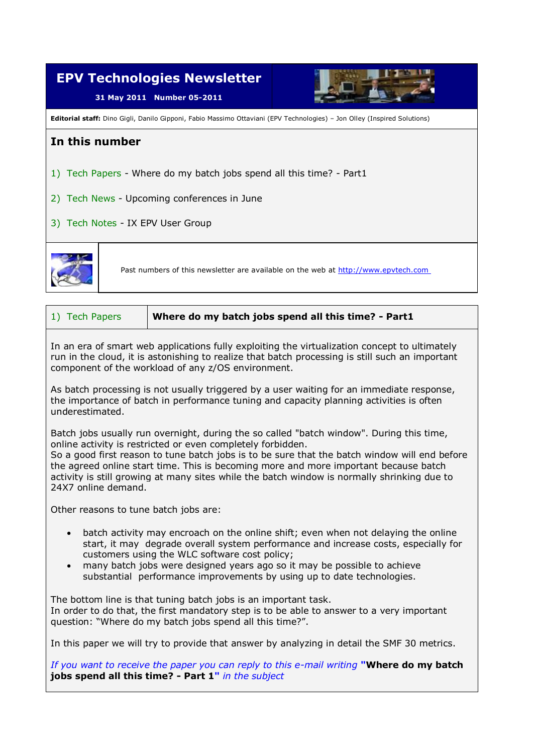

1) Tech Papers **Where do my batch jobs spend all this time? - Part1**

In an era of smart web applications fully exploiting the virtualization concept to ultimately run in the cloud, it is astonishing to realize that batch processing is still such an important component of the workload of any z/OS environment.

As batch processing is not usually triggered by a user waiting for an immediate response, the importance of batch in performance tuning and capacity planning activities is often underestimated.

Batch jobs usually run overnight, during the so called "batch window". During this time, online activity is restricted or even completely forbidden.

So a good first reason to tune batch jobs is to be sure that the batch window will end before the agreed online start time. This is becoming more and more important because batch activity is still growing at many sites while the batch window is normally shrinking due to 24X7 online demand.

Other reasons to tune batch jobs are:

- batch activity may encroach on the online shift; even when not delaying the online start, it may degrade overall system performance and increase costs, especially for customers using the WLC software cost policy;
- many batch jobs were designed years ago so it may be possible to achieve substantial performance improvements by using up to date technologies.

The bottom line is that tuning batch jobs is an important task. In order to do that, the first mandatory step is to be able to answer to a very important question: "Where do my batch jobs spend all this time?".

In this paper we will try to provide that answer by analyzing in detail the SMF 30 metrics.

*If you want to receive the paper you can reply to this e-mail writing* **"Where do my batch jobs spend all this time? - Part 1"** *in the subject*